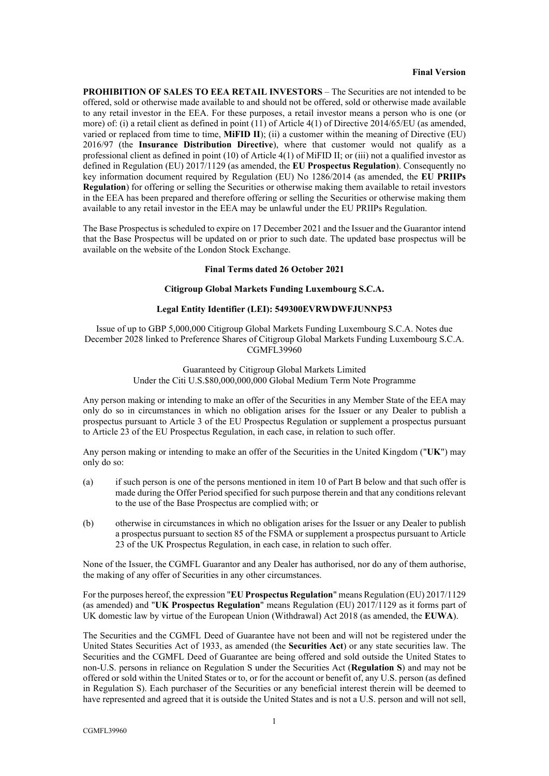### **Final Version**

**PROHIBITION OF SALES TO EEA RETAIL INVESTORS** – The Securities are not intended to be offered, sold or otherwise made available to and should not be offered, sold or otherwise made available to any retail investor in the EEA. For these purposes, a retail investor means a person who is one (or more) of: (i) a retail client as defined in point (11) of Article 4(1) of Directive 2014/65/EU (as amended, varied or replaced from time to time, **MiFID II**); (ii) a customer within the meaning of Directive (EU) 2016/97 (the **Insurance Distribution Directive**), where that customer would not qualify as a professional client as defined in point (10) of Article 4(1) of MiFID II; or (iii) not a qualified investor as defined in Regulation (EU) 2017/1129 (as amended, the **EU Prospectus Regulation**). Consequently no key information document required by Regulation (EU) No 1286/2014 (as amended, the **EU PRIIPs Regulation**) for offering or selling the Securities or otherwise making them available to retail investors in the EEA has been prepared and therefore offering or selling the Securities or otherwise making them available to any retail investor in the EEA may be unlawful under the EU PRIIPs Regulation.

The Base Prospectus is scheduled to expire on 17 December 2021 and the Issuer and the Guarantor intend that the Base Prospectus will be updated on or prior to such date. The updated base prospectus will be available on the website of the London Stock Exchange.

### **Final Terms dated 26 October 2021**

### **Citigroup Global Markets Funding Luxembourg S.C.A.**

### **Legal Entity Identifier (LEI): 549300EVRWDWFJUNNP53**

Issue of up to GBP 5,000,000 Citigroup Global Markets Funding Luxembourg S.C.A. Notes due December 2028 linked to Preference Shares of Citigroup Global Markets Funding Luxembourg S.C.A. CGMFL39960

> Guaranteed by Citigroup Global Markets Limited Under the Citi U.S.\$80,000,000,000 Global Medium Term Note Programme

Any person making or intending to make an offer of the Securities in any Member State of the EEA may only do so in circumstances in which no obligation arises for the Issuer or any Dealer to publish a prospectus pursuant to Article 3 of the EU Prospectus Regulation or supplement a prospectus pursuant to Article 23 of the EU Prospectus Regulation, in each case, in relation to such offer.

Any person making or intending to make an offer of the Securities in the United Kingdom ("**UK**") may only do so:

- (a) if such person is one of the persons mentioned in item [10](#page-9-0) of [Part B](#page-7-0) below and that such offer is made during the Offer Period specified for such purpose therein and that any conditions relevant to the use of the Base Prospectus are complied with; or
- (b) otherwise in circumstances in which no obligation arises for the Issuer or any Dealer to publish a prospectus pursuant to section 85 of the FSMA or supplement a prospectus pursuant to Article 23 of the UK Prospectus Regulation, in each case, in relation to such offer.

None of the Issuer, the CGMFL Guarantor and any Dealer has authorised, nor do any of them authorise, the making of any offer of Securities in any other circumstances.

For the purposes hereof, the expression "**EU Prospectus Regulation**" means Regulation (EU) 2017/1129 (as amended) and "**UK Prospectus Regulation**" means Regulation (EU) 2017/1129 as it forms part of UK domestic law by virtue of the European Union (Withdrawal) Act 2018 (as amended, the **EUWA**).

The Securities and the CGMFL Deed of Guarantee have not been and will not be registered under the United States Securities Act of 1933, as amended (the **Securities Act**) or any state securities law. The Securities and the CGMFL Deed of Guarantee are being offered and sold outside the United States to non-U.S. persons in reliance on Regulation S under the Securities Act (**Regulation S**) and may not be offered or sold within the United States or to, or for the account or benefit of, any U.S. person (as defined in Regulation S). Each purchaser of the Securities or any beneficial interest therein will be deemed to have represented and agreed that it is outside the United States and is not a U.S. person and will not sell,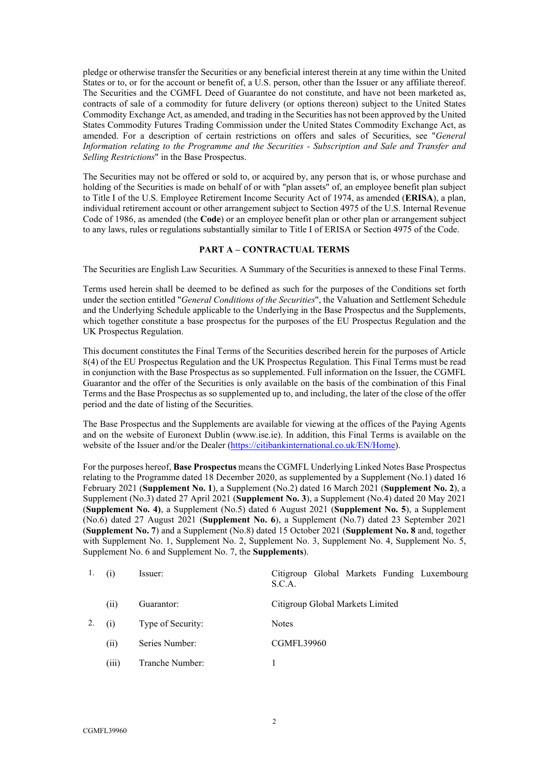pledge or otherwise transfer the Securities or any beneficial interest therein at any time within the United States or to, or for the account or benefit of, a U.S. person, other than the Issuer or any affiliate thereof. The Securities and the CGMFL Deed of Guarantee do not constitute, and have not been marketed as, contracts of sale of a commodity for future delivery (or options thereon) subject to the United States Commodity Exchange Act, as amended, and trading in the Securities has not been approved by the United States Commodity Futures Trading Commission under the United States Commodity Exchange Act, as amended. For a description of certain restrictions on offers and sales of Securities, see "*General Information relating to the Programme and the Securities - Subscription and Sale and Transfer and Selling Restrictions*" in the Base Prospectus.

The Securities may not be offered or sold to, or acquired by, any person that is, or whose purchase and holding of the Securities is made on behalf of or with "plan assets" of, an employee benefit plan subject to Title I of the U.S. Employee Retirement Income Security Act of 1974, as amended (**ERISA**), a plan, individual retirement account or other arrangement subject to Section 4975 of the U.S. Internal Revenue Code of 1986, as amended (the **Code**) or an employee benefit plan or other plan or arrangement subject to any laws, rules or regulations substantially similar to Title I of ERISA or Section 4975 of the Code.

### **PART A – CONTRACTUAL TERMS**

<span id="page-1-0"></span>The Securities are English Law Securities. A Summary of the Securities is annexed to these Final Terms.

Terms used herein shall be deemed to be defined as such for the purposes of the Conditions set forth under the section entitled "*General Conditions of the Securities*", the Valuation and Settlement Schedule and the Underlying Schedule applicable to the Underlying in the Base Prospectus and the Supplements, which together constitute a base prospectus for the purposes of the EU Prospectus Regulation and the UK Prospectus Regulation.

This document constitutes the Final Terms of the Securities described herein for the purposes of Article 8(4) of the EU Prospectus Regulation and the UK Prospectus Regulation. This Final Terms must be read in conjunction with the Base Prospectus as so supplemented. Full information on the Issuer, the CGMFL Guarantor and the offer of the Securities is only available on the basis of the combination of this Final Terms and the Base Prospectus as so supplemented up to, and including, the later of the close of the offer period and the date of listing of the Securities.

The Base Prospectus and the Supplements are available for viewing at the offices of the Paying Agents and on the website of Euronext Dublin (www.ise.ie). In addition, this Final Terms is available on the website of the Issuer and/or the Dealer [\(https://citibankinternational.co.uk/EN/Home\)](https://citibankinternational.co.uk/EN/Home).

For the purposes hereof, **Base Prospectus** means the CGMFL Underlying Linked Notes Base Prospectus relating to the Programme dated 18 December 2020, as supplemented by a Supplement (No.1) dated 16 February 2021 (**Supplement No. 1**), a Supplement (No.2) dated 16 March 2021 (**Supplement No. 2**), a Supplement (No.3) dated 27 April 2021 (**Supplement No. 3**), a Supplement (No.4) dated 20 May 2021 (**Supplement No. 4)**, a Supplement (No.5) dated 6 August 2021 (**Supplement No. 5**), a Supplement (No.6) dated 27 August 2021 (**Supplement No. 6**), a Supplement (No.7) dated 23 September 2021 (**Supplement No. 7**) and a Supplement (No.8) dated 15 October 2021 (**Supplement No. 8** and, together with Supplement No. 1, Supplement No. 2, Supplement No. 3, Supplement No. 4, Supplement No. 5, Supplement No. 6 and Supplement No. 7, the **Supplements**).

| 1. | (1)   | Issuer:           | Citigroup Global Markets Funding Luxembourg<br>S.C.A. |
|----|-------|-------------------|-------------------------------------------------------|
|    | (11)  | Guarantor:        | Citigroup Global Markets Limited                      |
| 2. | (1)   | Type of Security: | <b>Notes</b>                                          |
|    | (i)   | Series Number:    | <b>CGMFL39960</b>                                     |
|    | (iii) | Tranche Number:   |                                                       |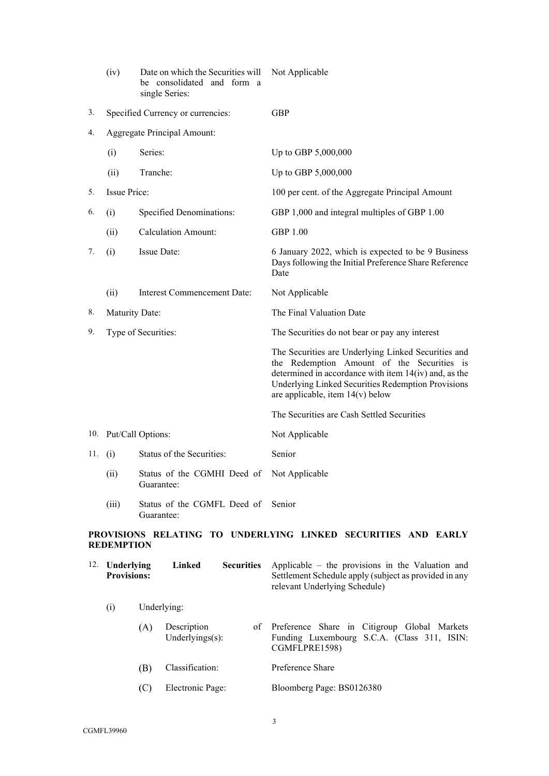|         | (iv)                | Date on which the Securities will<br>be consolidated and form a<br>single Series: | Not Applicable                                                                                                                                                                                                                                           |
|---------|---------------------|-----------------------------------------------------------------------------------|----------------------------------------------------------------------------------------------------------------------------------------------------------------------------------------------------------------------------------------------------------|
| 3.      |                     | Specified Currency or currencies:                                                 | <b>GBP</b>                                                                                                                                                                                                                                               |
| 4.      |                     | <b>Aggregate Principal Amount:</b>                                                |                                                                                                                                                                                                                                                          |
|         | (i)                 | Series:                                                                           | Up to GBP 5,000,000                                                                                                                                                                                                                                      |
|         | (ii)                | Tranche:                                                                          | Up to GBP 5,000,000                                                                                                                                                                                                                                      |
| 5.      | <b>Issue Price:</b> |                                                                                   | 100 per cent. of the Aggregate Principal Amount                                                                                                                                                                                                          |
| 6.      | (i)                 | Specified Denominations:                                                          | GBP 1,000 and integral multiples of GBP 1.00                                                                                                                                                                                                             |
|         | (ii)                | <b>Calculation Amount:</b>                                                        | <b>GBP 1.00</b>                                                                                                                                                                                                                                          |
| 7.      | (i)                 | <b>Issue Date:</b>                                                                | 6 January 2022, which is expected to be 9 Business<br>Days following the Initial Preference Share Reference<br>Date                                                                                                                                      |
|         | (ii)                | Interest Commencement Date:                                                       | Not Applicable                                                                                                                                                                                                                                           |
| 8.      | Maturity Date:      |                                                                                   | The Final Valuation Date                                                                                                                                                                                                                                 |
| 9.      |                     | Type of Securities:                                                               | The Securities do not bear or pay any interest                                                                                                                                                                                                           |
|         |                     |                                                                                   | The Securities are Underlying Linked Securities and<br>the Redemption Amount of the Securities is<br>determined in accordance with item $14(iv)$ and, as the<br>Underlying Linked Securities Redemption Provisions<br>are applicable, item $14(v)$ below |
|         |                     |                                                                                   | The Securities are Cash Settled Securities                                                                                                                                                                                                               |
|         |                     | 10. Put/Call Options:                                                             | Not Applicable                                                                                                                                                                                                                                           |
| 11. (i) |                     | Status of the Securities:                                                         | Senior                                                                                                                                                                                                                                                   |
|         | (ii)                | Status of the CGMHI Deed of Not Applicable<br>Guarantee:                          |                                                                                                                                                                                                                                                          |
|         | (iii)               | Status of the CGMFL Deed of Senior<br>Guarantee:                                  |                                                                                                                                                                                                                                                          |
|         | <b>REDEMPTION</b>   |                                                                                   | PROVISIONS RELATING TO UNDERLYING LINKED SECURITIES AND EARLY                                                                                                                                                                                            |

| 12. | Underlying<br><b>Provisions:</b> |     | Linked<br><b>Securities</b>        |  | Applicable – the provisions in the Valuation and<br>Settlement Schedule apply (subject as provided in any<br>relevant Underlying Schedule) |
|-----|----------------------------------|-----|------------------------------------|--|--------------------------------------------------------------------------------------------------------------------------------------------|
|     | (i)                              |     | Underlying:                        |  |                                                                                                                                            |
|     |                                  | (A) | Description<br>Underlyings $(s)$ : |  | of Preference Share in Citigroup Global Markets<br>Funding Luxembourg S.C.A. (Class 311, ISIN:<br>CGMFLPRE1598)                            |
|     |                                  | (B) | Classification:                    |  | Preference Share                                                                                                                           |
|     |                                  | (C) | Electronic Page:                   |  | Bloomberg Page: BS0126380                                                                                                                  |
|     |                                  |     |                                    |  |                                                                                                                                            |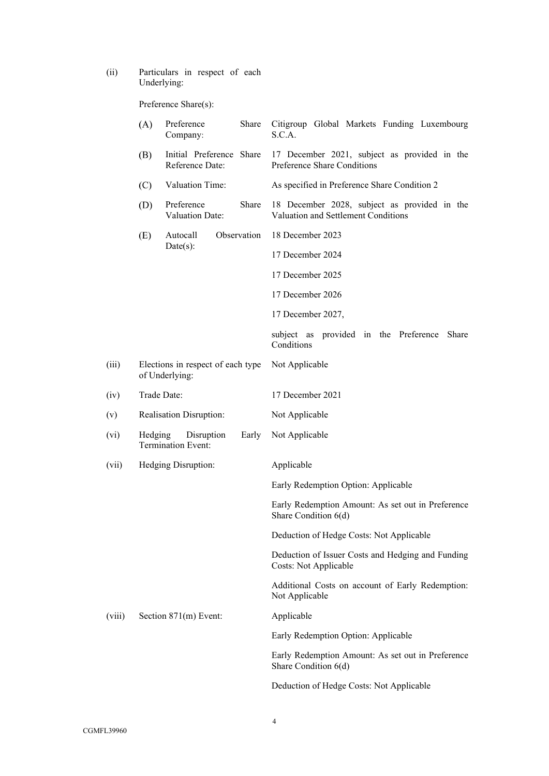(ii) Particulars in respect of each Underlying:

Preference Share(s):

|        | (A)     | Preference<br>Share<br>Company:                     | Citigroup Global Markets Funding Luxembourg<br>S.C.A.                               |
|--------|---------|-----------------------------------------------------|-------------------------------------------------------------------------------------|
|        | (B)     | Initial Preference Share<br>Reference Date:         | 17 December 2021, subject as provided in the<br>Preference Share Conditions         |
|        | (C)     | Valuation Time:                                     | As specified in Preference Share Condition 2                                        |
|        | (D)     | Preference<br>Share<br>Valuation Date:              | 18 December 2028, subject as provided in the<br>Valuation and Settlement Conditions |
|        | (E)     | Observation<br>Autocall                             | 18 December 2023                                                                    |
|        |         | Date(s):                                            | 17 December 2024                                                                    |
|        |         |                                                     | 17 December 2025                                                                    |
|        |         |                                                     | 17 December 2026                                                                    |
|        |         |                                                     | 17 December 2027,                                                                   |
|        |         |                                                     | subject as provided in the Preference<br>Share<br>Conditions                        |
| (iii)  |         | Elections in respect of each type<br>of Underlying: | Not Applicable                                                                      |
| (iv)   |         | Trade Date:                                         | 17 December 2021                                                                    |
| (v)    |         | <b>Realisation Disruption:</b>                      | Not Applicable                                                                      |
| (vi)   | Hedging | Disruption<br>Early<br><b>Termination Event:</b>    | Not Applicable                                                                      |
| (vii)  |         | Hedging Disruption:                                 | Applicable                                                                          |
|        |         |                                                     | Early Redemption Option: Applicable                                                 |
|        |         |                                                     | Early Redemption Amount: As set out in Preference<br>Share Condition 6(d)           |
|        |         |                                                     | Deduction of Hedge Costs: Not Applicable                                            |
|        |         |                                                     | Deduction of Issuer Costs and Hedging and Funding<br>Costs: Not Applicable          |
|        |         |                                                     | Additional Costs on account of Early Redemption:<br>Not Applicable                  |
| (viii) |         | Section 871(m) Event:                               | Applicable                                                                          |
|        |         |                                                     | Early Redemption Option: Applicable                                                 |
|        |         |                                                     | Early Redemption Amount: As set out in Preference<br>Share Condition 6(d)           |
|        |         |                                                     | Deduction of Hedge Costs: Not Applicable                                            |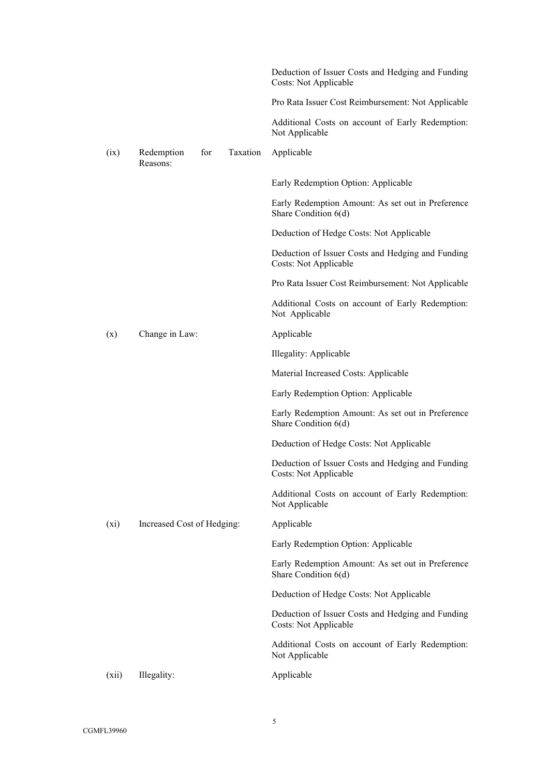|         |                                           | Deduction of Issuer Costs and Hedging and Funding<br>Costs: Not Applicable |
|---------|-------------------------------------------|----------------------------------------------------------------------------|
|         |                                           | Pro Rata Issuer Cost Reimbursement: Not Applicable                         |
|         |                                           | Additional Costs on account of Early Redemption:<br>Not Applicable         |
| (ix)    | Taxation<br>Redemption<br>for<br>Reasons: | Applicable                                                                 |
|         |                                           | Early Redemption Option: Applicable                                        |
|         |                                           | Early Redemption Amount: As set out in Preference<br>Share Condition 6(d)  |
|         |                                           | Deduction of Hedge Costs: Not Applicable                                   |
|         |                                           | Deduction of Issuer Costs and Hedging and Funding<br>Costs: Not Applicable |
|         |                                           | Pro Rata Issuer Cost Reimbursement: Not Applicable                         |
|         |                                           | Additional Costs on account of Early Redemption:<br>Not Applicable         |
| (x)     | Change in Law:                            | Applicable                                                                 |
|         |                                           | Illegality: Applicable                                                     |
|         |                                           | Material Increased Costs: Applicable                                       |
|         |                                           | Early Redemption Option: Applicable                                        |
|         |                                           | Early Redemption Amount: As set out in Preference<br>Share Condition 6(d)  |
|         |                                           | Deduction of Hedge Costs: Not Applicable                                   |
|         |                                           | Deduction of Issuer Costs and Hedging and Funding<br>Costs: Not Applicable |
|         |                                           | Additional Costs on account of Early Redemption:<br>Not Applicable         |
| $(x_i)$ | Increased Cost of Hedging:                | Applicable                                                                 |
|         |                                           | Early Redemption Option: Applicable                                        |
|         |                                           | Early Redemption Amount: As set out in Preference<br>Share Condition 6(d)  |
|         |                                           | Deduction of Hedge Costs: Not Applicable                                   |
|         |                                           | Deduction of Issuer Costs and Hedging and Funding<br>Costs: Not Applicable |
|         |                                           | Additional Costs on account of Early Redemption:<br>Not Applicable         |
| (xii)   | Illegality:                               | Applicable                                                                 |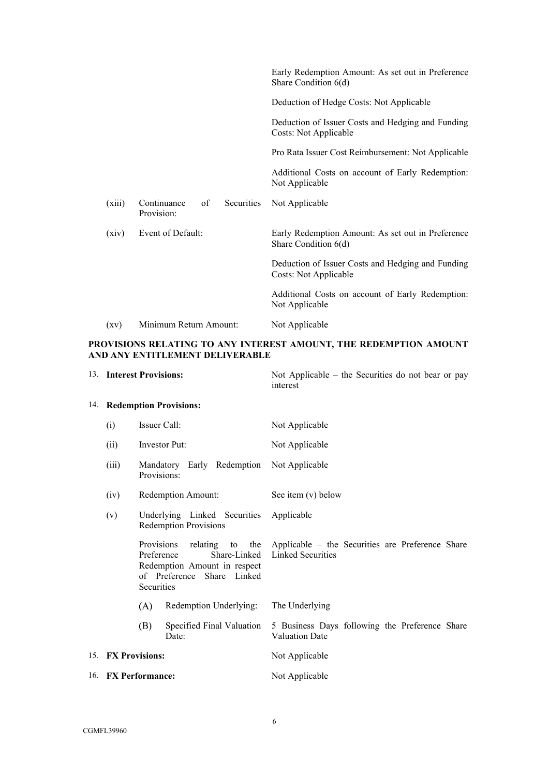|        |                                                      | Early Redemption Amount: As set out in Preference<br>Share Condition 6(d)  |
|--------|------------------------------------------------------|----------------------------------------------------------------------------|
|        |                                                      | Deduction of Hedge Costs: Not Applicable                                   |
|        |                                                      | Deduction of Issuer Costs and Hedging and Funding<br>Costs: Not Applicable |
|        |                                                      | Pro Rata Issuer Cost Reimbursement: Not Applicable                         |
|        |                                                      | Additional Costs on account of Early Redemption:<br>Not Applicable         |
| (xiii) | Continuance<br>of<br><b>Securities</b><br>Provision: | Not Applicable                                                             |
| (xiv)  | Event of Default:                                    | Early Redemption Amount: As set out in Preference<br>Share Condition 6(d)  |
|        |                                                      | Deduction of Issuer Costs and Hedging and Funding<br>Costs: Not Applicable |
|        |                                                      | Additional Costs on account of Early Redemption:<br>Not Applicable         |
| (xv)   | Minimum Return Amount:                               | Not Applicable                                                             |

# **PROVISIONS RELATING TO ANY INTEREST AMOUNT, THE REDEMPTION AMOUNT AND ANY ENTITLEMENT DELIVERABLE**

<span id="page-5-1"></span><span id="page-5-0"></span>

| 13. Interest Provisions:                                                                                             |     |                                    | Not Applicable – the Securities do not bear or pay<br>interest               |
|----------------------------------------------------------------------------------------------------------------------|-----|------------------------------------|------------------------------------------------------------------------------|
| 14. Redemption Provisions:                                                                                           |     |                                    |                                                                              |
| Issuer Call:<br>(i)                                                                                                  |     |                                    | Not Applicable                                                               |
| (ii)                                                                                                                 |     | <b>Investor Put:</b>               | Not Applicable                                                               |
| (iii)<br>Mandatory Early Redemption<br>Provisions:                                                                   |     |                                    | Not Applicable                                                               |
| Redemption Amount:<br>(iv)                                                                                           |     |                                    | See item $(v)$ below                                                         |
| Underlying Linked Securities<br>(v)<br><b>Redemption Provisions</b>                                                  |     |                                    | Applicable                                                                   |
| Provisions<br>Preference<br>Share-Linked<br>Redemption Amount in respect<br>of Preference Share Linked<br>Securities |     | relating to the                    | Applicable – the Securities are Preference Share<br><b>Linked Securities</b> |
| Redemption Underlying:<br>(A)                                                                                        |     |                                    | The Underlying                                                               |
|                                                                                                                      | (B) | Specified Final Valuation<br>Date: | 5 Business Days following the Preference Share<br><b>Valuation Date</b>      |
| 15. FX Provisions:                                                                                                   |     |                                    | Not Applicable                                                               |
| 16. FX Performance:                                                                                                  |     |                                    | Not Applicable                                                               |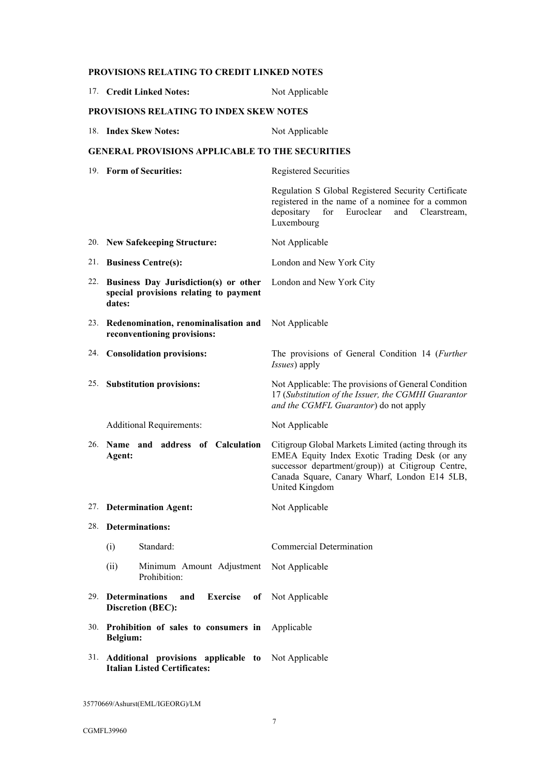|     | 17. Credit Linked Notes:                                                                      | Not Applicable                                                                                                                                                                                                               |  |  |  |
|-----|-----------------------------------------------------------------------------------------------|------------------------------------------------------------------------------------------------------------------------------------------------------------------------------------------------------------------------------|--|--|--|
|     | <b>PROVISIONS RELATING TO INDEX SKEW NOTES</b>                                                |                                                                                                                                                                                                                              |  |  |  |
|     | 18. Index Skew Notes:                                                                         | Not Applicable                                                                                                                                                                                                               |  |  |  |
|     | <b>GENERAL PROVISIONS APPLICABLE TO THE SECURITIES</b>                                        |                                                                                                                                                                                                                              |  |  |  |
|     | 19. Form of Securities:                                                                       | Registered Securities                                                                                                                                                                                                        |  |  |  |
|     |                                                                                               | Regulation S Global Registered Security Certificate<br>registered in the name of a nominee for a common<br>depositary<br>for<br>Euroclear<br>and<br>Clearstream,<br>Luxembourg                                               |  |  |  |
|     | 20. New Safekeeping Structure:                                                                | Not Applicable                                                                                                                                                                                                               |  |  |  |
| 21. | <b>Business Centre(s):</b>                                                                    | London and New York City                                                                                                                                                                                                     |  |  |  |
|     | 22. Business Day Jurisdiction(s) or other<br>special provisions relating to payment<br>dates: | London and New York City                                                                                                                                                                                                     |  |  |  |
|     | 23. Redenomination, renominalisation and<br>reconventioning provisions:                       | Not Applicable                                                                                                                                                                                                               |  |  |  |
|     | 24. Consolidation provisions:                                                                 | The provisions of General Condition 14 (Further<br>Issues) apply                                                                                                                                                             |  |  |  |
|     | 25. Substitution provisions:                                                                  | Not Applicable: The provisions of General Condition<br>17 (Substitution of the Issuer, the CGMHI Guarantor<br>and the CGMFL Guarantor) do not apply                                                                          |  |  |  |
|     | <b>Additional Requirements:</b>                                                               | Not Applicable                                                                                                                                                                                                               |  |  |  |
| 26. | Name and address of Calculation<br>Agent:                                                     | Citigroup Global Markets Limited (acting through its<br>EMEA Equity Index Exotic Trading Desk (or any<br>successor department/group)) at Citigroup Centre,<br>Canada Square, Canary Wharf, London E14 5LB,<br>United Kingdom |  |  |  |
|     | 27. Determination Agent:                                                                      | Not Applicable                                                                                                                                                                                                               |  |  |  |
|     | 28. Determinations:                                                                           |                                                                                                                                                                                                                              |  |  |  |
|     | Standard:<br>(i)                                                                              | <b>Commercial Determination</b>                                                                                                                                                                                              |  |  |  |
|     | (ii)<br>Minimum Amount Adjustment<br>Prohibition:                                             | Not Applicable                                                                                                                                                                                                               |  |  |  |
|     | 29. Determinations<br>Exercise<br>and<br><b>Discretion (BEC):</b>                             | of Not Applicable                                                                                                                                                                                                            |  |  |  |
|     | 30. Prohibition of sales to consumers in<br>Belgium:                                          | Applicable                                                                                                                                                                                                                   |  |  |  |
|     | 31. Additional provisions applicable to Not Applicable<br><b>Italian Listed Certificates:</b> |                                                                                                                                                                                                                              |  |  |  |

**PROVISIONS RELATING TO CREDIT LINKED NOTES**

35770669/Ashurst(EML/IGEORG)/LM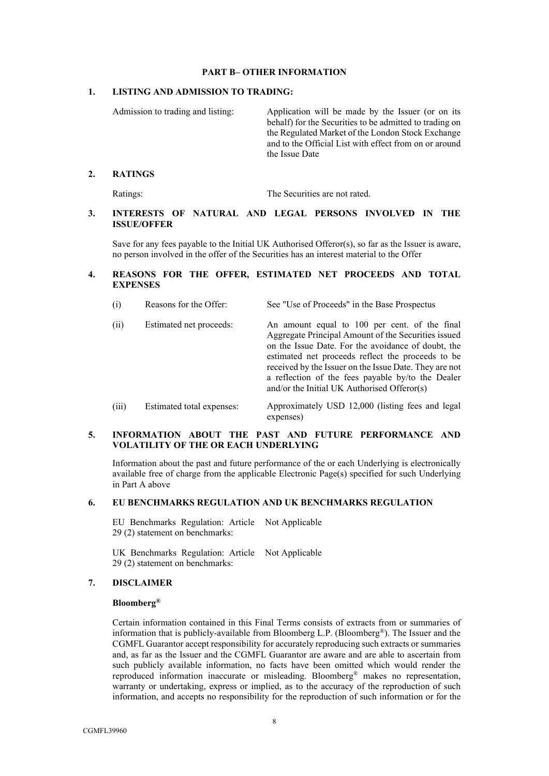### **PART B– OTHER INFORMATION**

### <span id="page-7-0"></span>**1. LISTING AND ADMISSION TO TRADING:**

Admission to trading and listing: Application will be made by the Issuer (or on its behalf) for the Securities to be admitted to trading on the Regulated Market of the London Stock Exchange and to the Official List with effect from on or around the Issue Date

### **2. RATINGS**

Ratings: The Securities are not rated.

### **3. INTERESTS OF NATURAL AND LEGAL PERSONS INVOLVED IN THE ISSUE/OFFER**

Save for any fees payable to the Initial UK Authorised Offeror(s), so far as the Issuer is aware, no person involved in the offer of the Securities has an interest material to the Offer

## **4. REASONS FOR THE OFFER, ESTIMATED NET PROCEEDS AND TOTAL EXPENSES**

| (i) | Reasons for the Offer: | See "Use of Proceeds" in the Base Prospectus |  |
|-----|------------------------|----------------------------------------------|--|
|     |                        |                                              |  |

| (ii)  | Estimated net proceeds:  | An amount equal to 100 per cent. of the final<br>Aggregate Principal Amount of the Securities issued<br>on the Issue Date. For the avoidance of doubt, the<br>estimated net proceeds reflect the proceeds to be<br>received by the Issuer on the Issue Date. They are not<br>a reflection of the fees payable by/to the Dealer<br>and/or the Initial UK Authorised Offeror(s) |
|-------|--------------------------|-------------------------------------------------------------------------------------------------------------------------------------------------------------------------------------------------------------------------------------------------------------------------------------------------------------------------------------------------------------------------------|
| (iii) | Estimated total expenses | Approximately USD 12000 (listing fees and legal                                                                                                                                                                                                                                                                                                                               |

(iii) Estimated total expenses: Approximately USD 12,000 (listing fees and legal expenses)

### **5. INFORMATION ABOUT THE PAST AND FUTURE PERFORMANCE AND VOLATILITY OF THE OR EACH UNDERLYING**

Information about the past and future performance of the or each Underlying is electronically available free of charge from the applicable Electronic Page(s) specified for such Underlying in [Part A above](#page-1-0)

# **6. EU BENCHMARKS REGULATION AND UK BENCHMARKS REGULATION**

EU Benchmarks Regulation: Article Not Applicable 29 (2) statement on benchmarks:

UK Benchmarks Regulation: Article Not Applicable 29 (2) statement on benchmarks:

### **7. DISCLAIMER**

### **Bloomberg®**

Certain information contained in this Final Terms consists of extracts from or summaries of information that is publicly-available from Bloomberg L.P. (Bloomberg®). The Issuer and the CGMFL Guarantor accept responsibility for accurately reproducing such extracts or summaries and, as far as the Issuer and the CGMFL Guarantor are aware and are able to ascertain from such publicly available information, no facts have been omitted which would render the reproduced information inaccurate or misleading. Bloomberg® makes no representation, warranty or undertaking, express or implied, as to the accuracy of the reproduction of such information, and accepts no responsibility for the reproduction of such information or for the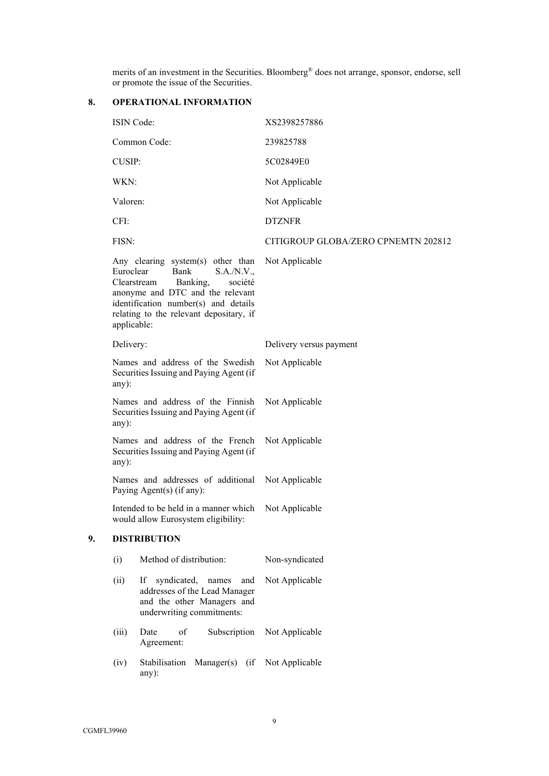merits of an investment in the Securities. Bloomberg® does not arrange, sponsor, endorse, sell or promote the issue of the Securities.

# **8. OPERATIONAL INFORMATION**

|    | ISIN Code:               |                                                                                                                                                                                                                      | XS2398257886                        |
|----|--------------------------|----------------------------------------------------------------------------------------------------------------------------------------------------------------------------------------------------------------------|-------------------------------------|
|    |                          | Common Code:                                                                                                                                                                                                         | 239825788                           |
|    | <b>CUSIP:</b>            |                                                                                                                                                                                                                      | 5C02849E0                           |
|    | WKN:                     |                                                                                                                                                                                                                      | Not Applicable                      |
|    | Valoren:                 |                                                                                                                                                                                                                      | Not Applicable                      |
|    | CFI:                     |                                                                                                                                                                                                                      | <b>DTZNFR</b>                       |
|    | FISN:                    |                                                                                                                                                                                                                      | CITIGROUP GLOBA/ZERO CPNEMTN 202812 |
|    | Euroclear<br>applicable: | Any clearing system(s) other than<br>S.A./N.V.,<br>Bank<br>Clearstream<br>Banking,<br>société<br>anonyme and DTC and the relevant<br>identification number(s) and details<br>relating to the relevant depositary, if | Not Applicable                      |
|    | Delivery:                |                                                                                                                                                                                                                      | Delivery versus payment             |
|    | any):                    | Names and address of the Swedish<br>Securities Issuing and Paying Agent (if                                                                                                                                          | Not Applicable                      |
|    | any):                    | Names and address of the Finnish<br>Securities Issuing and Paying Agent (if                                                                                                                                          | Not Applicable                      |
|    | any):                    | Names and address of the French<br>Securities Issuing and Paying Agent (if                                                                                                                                           | Not Applicable                      |
|    |                          | Names and addresses of additional<br>Paying Agent(s) (if any):                                                                                                                                                       | Not Applicable                      |
|    |                          | Intended to be held in a manner which<br>would allow Eurosystem eligibility:                                                                                                                                         | Not Applicable                      |
| 9. |                          | <b>DISTRIBUTION</b>                                                                                                                                                                                                  |                                     |
|    | (i)                      | Method of distribution:                                                                                                                                                                                              | Non-syndicated                      |
|    | (ii)                     | If<br>syndicated, names<br>and<br>addresses of the Lead Manager<br>and the other Managers and<br>underwriting commitments:                                                                                           | Not Applicable                      |
|    | (iii)                    | Date<br>of<br>Subscription<br>Agreement:                                                                                                                                                                             | Not Applicable                      |
|    | (iv)                     | Stabilisation<br>Manager(s) (if<br>any):                                                                                                                                                                             | Not Applicable                      |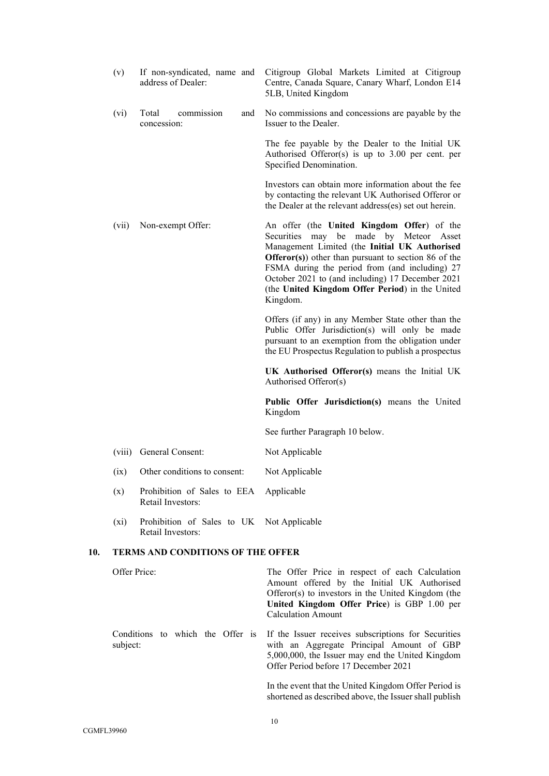|     | (v)          | If non-syndicated, name and<br>address of Dealer:              | Citigroup Global Markets Limited at Citigroup<br>Centre, Canada Square, Canary Wharf, London E14<br>5LB, United Kingdom                                                                                                                                                                                                                                                  |
|-----|--------------|----------------------------------------------------------------|--------------------------------------------------------------------------------------------------------------------------------------------------------------------------------------------------------------------------------------------------------------------------------------------------------------------------------------------------------------------------|
|     | (vi)         | Total<br>commission<br>and<br>concession:                      | No commissions and concessions are payable by the<br>Issuer to the Dealer.                                                                                                                                                                                                                                                                                               |
|     |              |                                                                | The fee payable by the Dealer to the Initial UK<br>Authorised Offeror(s) is up to $3.00$ per cent. per<br>Specified Denomination.                                                                                                                                                                                                                                        |
|     |              |                                                                | Investors can obtain more information about the fee<br>by contacting the relevant UK Authorised Offeror or<br>the Dealer at the relevant address(es) set out herein.                                                                                                                                                                                                     |
|     | (vii)        | Non-exempt Offer:                                              | An offer (the United Kingdom Offer) of the<br>Securities may be made by Meteor Asset<br>Management Limited (the Initial UK Authorised<br><b>Offeror(s)</b> other than pursuant to section 86 of the<br>FSMA during the period from (and including) 27<br>October 2021 to (and including) 17 December 2021<br>(the United Kingdom Offer Period) in the United<br>Kingdom. |
|     |              |                                                                | Offers (if any) in any Member State other than the<br>Public Offer Jurisdiction(s) will only be made<br>pursuant to an exemption from the obligation under<br>the EU Prospectus Regulation to publish a prospectus                                                                                                                                                       |
|     |              |                                                                | UK Authorised Offeror(s) means the Initial UK<br>Authorised Offeror(s)                                                                                                                                                                                                                                                                                                   |
|     |              |                                                                | Public Offer Jurisdiction(s) means the United<br>Kingdom                                                                                                                                                                                                                                                                                                                 |
|     |              |                                                                | See further Paragraph 10 below.                                                                                                                                                                                                                                                                                                                                          |
|     | (viii)       | General Consent:                                               | Not Applicable                                                                                                                                                                                                                                                                                                                                                           |
|     | (ix)         | Other conditions to consent:                                   | Not Applicable                                                                                                                                                                                                                                                                                                                                                           |
|     | (x)          | Prohibition of Sales to EEA Applicable<br>Retail Investors:    |                                                                                                                                                                                                                                                                                                                                                                          |
|     | $(x_i)$      | Prohibition of Sales to UK Not Applicable<br>Retail Investors: |                                                                                                                                                                                                                                                                                                                                                                          |
| 10. |              | TERMS AND CONDITIONS OF THE OFFER                              |                                                                                                                                                                                                                                                                                                                                                                          |
|     | Offer Price: |                                                                | The Offer Price in respect of each Calculation<br>Amount offered by the Initial UK Authorised<br>Offeror(s) to investors in the United Kingdom (the<br>United Kingdom Offer Price) is GBP 1.00 per<br><b>Calculation Amount</b>                                                                                                                                          |
|     | subject:     | Conditions to which the Offer is                               | If the Issuer receives subscriptions for Securities<br>with an Aggregate Principal Amount of GBP<br>5,000,000, the Issuer may end the United Kingdom<br>Offer Period before 17 December 2021                                                                                                                                                                             |
|     |              |                                                                | In the event that the United Kingdom Offer Period is                                                                                                                                                                                                                                                                                                                     |

<span id="page-9-0"></span>shortened as described above, the Issuer shall publish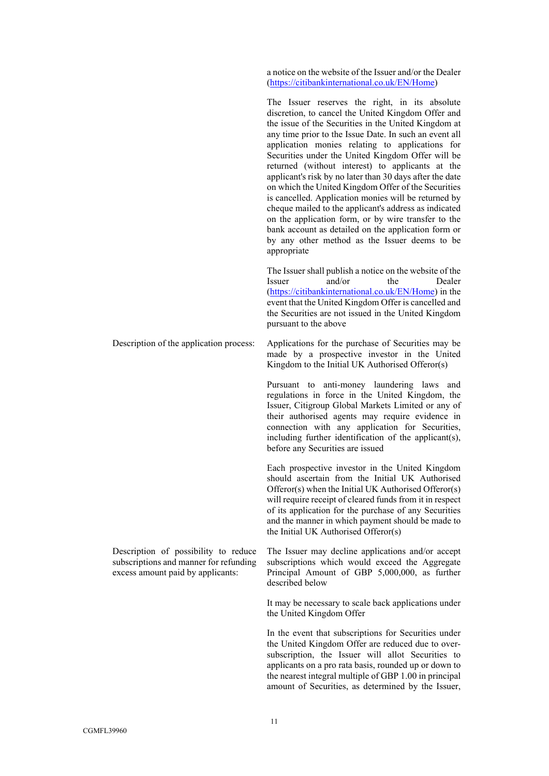a notice on the website of the Issuer and/or the Dealer (<https://citibankinternational.co.uk/EN/Home>)

The Issuer reserves the right, in its absolute discretion, to cancel the United Kingdom Offer and the issue of the Securities in the United Kingdom at any time prior to the Issue Date. In such an event all application monies relating to applications for Securities under the United Kingdom Offer will be returned (without interest) to applicants at the applicant's risk by no later than 30 days after the date on which the United Kingdom Offer of the Securities is cancelled. Application monies will be returned by cheque mailed to the applicant's address as indicated on the application form, or by wire transfer to the bank account as detailed on the application form or by any other method as the Issuer deems to be appropriate

The Issuer shall publish a notice on the website of the Issuer and/or the Dealer (<https://citibankinternational.co.uk/EN/Home>) in the event that the United Kingdom Offer is cancelled and the Securities are not issued in the United Kingdom pursuant to the above

Description of the application process: Applications for the purchase of Securities may be made by a prospective investor in the United Kingdom to the Initial UK Authorised Offeror(s)

> Pursuant to anti-money laundering laws and regulations in force in the United Kingdom, the Issuer, Citigroup Global Markets Limited or any of their authorised agents may require evidence in connection with any application for Securities, including further identification of the applicant(s), before any Securities are issued

> Each prospective investor in the United Kingdom should ascertain from the Initial UK Authorised Offeror(s) when the Initial UK Authorised Offeror(s) will require receipt of cleared funds from it in respect of its application for the purchase of any Securities and the manner in which payment should be made to the Initial UK Authorised Offeror(s)

> The Issuer may decline applications and/or accept subscriptions which would exceed the Aggregate Principal Amount of GBP 5,000,000, as further described below

> It may be necessary to scale back applications under the United Kingdom Offer

> In the event that subscriptions for Securities under the United Kingdom Offer are reduced due to oversubscription, the Issuer will allot Securities to applicants on a pro rata basis, rounded up or down to the nearest integral multiple of GBP 1.00 in principal amount of Securities, as determined by the Issuer,

Description of possibility to reduce subscriptions and manner for refunding excess amount paid by applicants: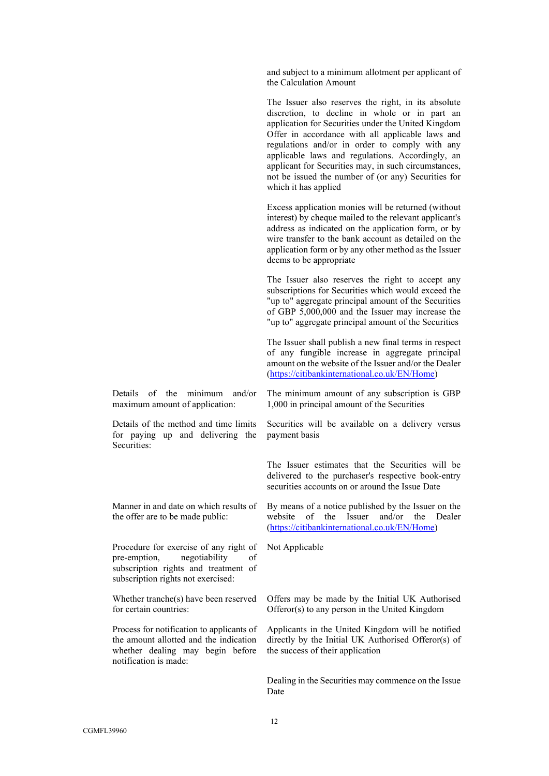and subject to a minimum allotment per applicant of the Calculation Amount

The Issuer also reserves the right, in its absolute discretion, to decline in whole or in part an application for Securities under the United Kingdom Offer in accordance with all applicable laws and regulations and/or in order to comply with any applicable laws and regulations. Accordingly, an applicant for Securities may, in such circumstances, not be issued the number of (or any) Securities for which it has applied

Excess application monies will be returned (without interest) by cheque mailed to the relevant applicant's address as indicated on the application form, or by wire transfer to the bank account as detailed on the application form or by any other method as the Issuer deems to be appropriate

The Issuer also reserves the right to accept any subscriptions for Securities which would exceed the "up to" aggregate principal amount of the Securities of GBP 5,000,000 and the Issuer may increase the "up to" aggregate principal amount of the Securities

The Issuer shall publish a new final terms in respect of any fungible increase in aggregate principal amount on the website of the Issuer and/or the Dealer (<https://citibankinternational.co.uk/EN/Home>)

Details of the minimum and/or maximum amount of application:

Details of the method and time limits for paying up and delivering the Securities:

Manner in and date on which results of the offer are to be made public:

Procedure for exercise of any right of pre-emption, negotiability of subscription rights and treatment of subscription rights not exercised:

Whether tranche(s) have been reserved for certain countries:

Process for notification to applicants of the amount allotted and the indication whether dealing may begin before notification is made:

The minimum amount of any subscription is GBP 1,000 in principal amount of the Securities

Securities will be available on a delivery versus payment basis

The Issuer estimates that the Securities will be delivered to the purchaser's respective book-entry securities accounts on or around the Issue Date

By means of a notice published by the Issuer on the website of the Issuer and/or the Dealer (<https://citibankinternational.co.uk/EN/Home>)

Not Applicable

Offers may be made by the Initial UK Authorised Offeror(s) to any person in the United Kingdom

Applicants in the United Kingdom will be notified directly by the Initial UK Authorised Offeror(s) of the success of their application

Dealing in the Securities may commence on the Issue Date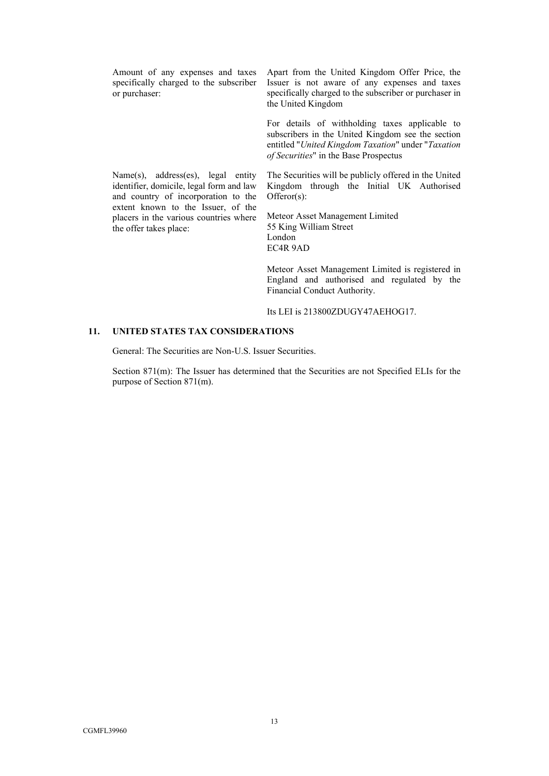Amount of any expenses and taxes specifically charged to the subscriber or purchaser:

Name(s), address(es), legal entity identifier, domicile, legal form and law and country of incorporation to the extent known to the Issuer, of the placers in the various countries where

the offer takes place:

Apart from the United Kingdom Offer Price, the Issuer is not aware of any expenses and taxes specifically charged to the subscriber or purchaser in the United Kingdom

For details of withholding taxes applicable to subscribers in the United Kingdom see the section entitled "*United Kingdom Taxation*" under "*Taxation of Securities*" in the Base Prospectus

The Securities will be publicly offered in the United Kingdom through the Initial UK Authorised Offeror(s):

Meteor Asset Management Limited 55 King William Street London EC4R 9AD

Meteor Asset Management Limited is registered in England and authorised and regulated by the Financial Conduct Authority.

Its LEI is 213800ZDUGY47AEHOG17.

### **11. UNITED STATES TAX CONSIDERATIONS**

General: The Securities are Non-U.S. Issuer Securities.

Section 871(m): The Issuer has determined that the Securities are not Specified ELIs for the purpose of Section 871(m).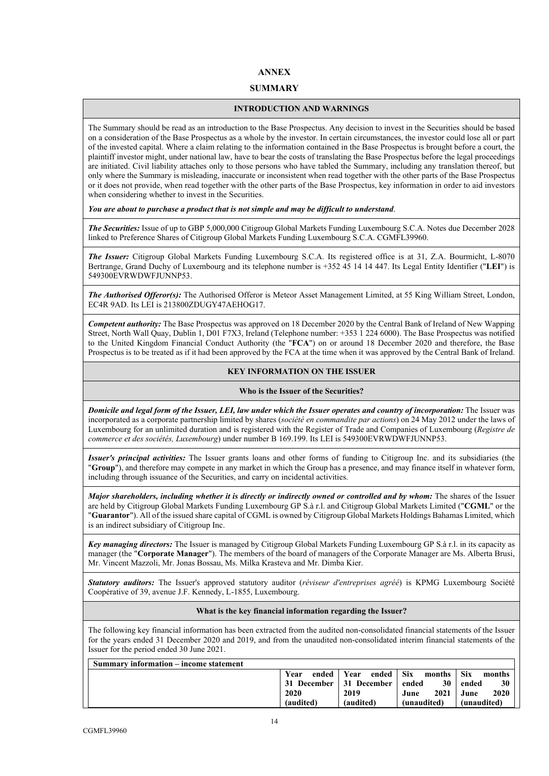# **ANNEX**

### **SUMMARY**

### **INTRODUCTION AND WARNINGS**

The Summary should be read as an introduction to the Base Prospectus. Any decision to invest in the Securities should be based on a consideration of the Base Prospectus as a whole by the investor. In certain circumstances, the investor could lose all or part of the invested capital. Where a claim relating to the information contained in the Base Prospectus is brought before a court, the plaintiff investor might, under national law, have to bear the costs of translating the Base Prospectus before the legal proceedings are initiated. Civil liability attaches only to those persons who have tabled the Summary, including any translation thereof, but only where the Summary is misleading, inaccurate or inconsistent when read together with the other parts of the Base Prospectus or it does not provide, when read together with the other parts of the Base Prospectus, key information in order to aid investors when considering whether to invest in the Securities.

*You are about to purchase a product that is not simple and may be difficult to understand*.

*The Securities:* Issue of up to GBP 5,000,000 Citigroup Global Markets Funding Luxembourg S.C.A. Notes due December 2028 linked to Preference Shares of Citigroup Global Markets Funding Luxembourg S.C.A. CGMFL39960.

*The Issuer:* Citigroup Global Markets Funding Luxembourg S.C.A. Its registered office is at 31, Z.A. Bourmicht, L-8070 Bertrange, Grand Duchy of Luxembourg and its telephone number is +352 45 14 14 447. Its Legal Entity Identifier ("**LEI**") is 549300EVRWDWFJUNNP53.

*The Authorised Offeror(s):* The Authorised Offeror is Meteor Asset Management Limited, at 55 King William Street, London, EC4R 9AD. Its LEI is 213800ZDUGY47AEHOG17.

*Competent authority:* The Base Prospectus was approved on 18 December 2020 by the Central Bank of Ireland of New Wapping Street, North Wall Quay, Dublin 1, D01 F7X3, Ireland (Telephone number: +353 1 224 6000). The Base Prospectus was notified to the United Kingdom Financial Conduct Authority (the "**FCA**") on or around 18 December 2020 and therefore, the Base Prospectus is to be treated as if it had been approved by the FCA at the time when it was approved by the Central Bank of Ireland.

### **KEY INFORMATION ON THE ISSUER**

### **Who is the Issuer of the Securities?**

*Domicile and legal form of the Issuer, LEI, law under which the Issuer operates and country of incorporation:* The Issuer was incorporated as a corporate partnership limited by shares (*société en commandite par actions*) on 24 May 2012 under the laws of Luxembourg for an unlimited duration and is registered with the Register of Trade and Companies of Luxembourg (*Registre de commerce et des sociétés, Luxembourg*) under number B 169.199. Its LEI is 549300EVRWDWFJUNNP53.

*Issuer's principal activities:* The Issuer grants loans and other forms of funding to Citigroup Inc. and its subsidiaries (the "**Group**"), and therefore may compete in any market in which the Group has a presence, and may finance itself in whatever form, including through issuance of the Securities, and carry on incidental activities.

*Major shareholders, including whether it is directly or indirectly owned or controlled and by whom:* The shares of the Issuer are held by Citigroup Global Markets Funding Luxembourg GP S.à r.l. and Citigroup Global Markets Limited ("**CGML**" or the "**Guarantor**"). All of the issued share capital of CGML is owned by Citigroup Global Markets Holdings Bahamas Limited, which is an indirect subsidiary of Citigroup Inc.

*Key managing directors:* The Issuer is managed by Citigroup Global Markets Funding Luxembourg GP S.à r.l. in its capacity as manager (the "**Corporate Manager**"). The members of the board of managers of the Corporate Manager are Ms. Alberta Brusi, Mr. Vincent Mazzoli, Mr. Jonas Bossau, Ms. Milka Krasteva and Mr. Dimba Kier.

*Statutory auditors:* The Issuer's approved statutory auditor (*réviseur d'entreprises agréé*) is KPMG Luxembourg Société Coopérative of 39, avenue J.F. Kennedy, L-1855, Luxembourg.

### **What is the key financial information regarding the Issuer?**

The following key financial information has been extracted from the audited non-consolidated financial statements of the Issuer for the years ended 31 December 2020 and 2019, and from the unaudited non-consolidated interim financial statements of the Issuer for the period ended 30 June 2021.

| Summary information – income statement |                      |             |               |                 |
|----------------------------------------|----------------------|-------------|---------------|-----------------|
|                                        | ended   Year<br>Year | ended       | Six<br>months | - Six<br>months |
|                                        | 31 December          | 31 December | 30<br>ended   | 30<br>ended     |
|                                        | 2020                 | 2019        | 2021<br>June  | 2020<br>June    |
|                                        | (audited)            | (audited)   | (unaudited)   | (unaudited)     |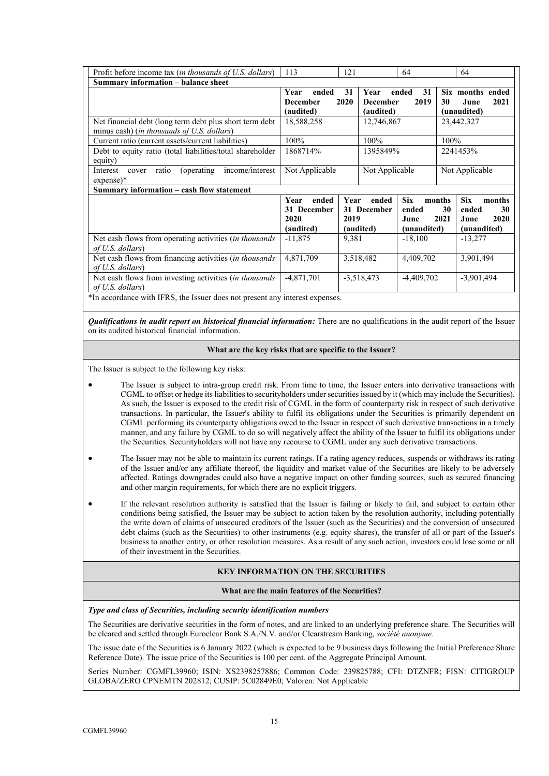| Profit before income tax (in thousands of U.S. dollars)                                                         | 113                                               | 121                                                | 64                                         | 64                                                                                         |  |
|-----------------------------------------------------------------------------------------------------------------|---------------------------------------------------|----------------------------------------------------|--------------------------------------------|--------------------------------------------------------------------------------------------|--|
| Summary information - balance sheet                                                                             |                                                   |                                                    |                                            |                                                                                            |  |
|                                                                                                                 | Year<br>ended<br><b>December</b><br>(audited)     | 31<br>Year<br>2020<br><b>December</b><br>(audited) | 31<br>ended<br>2019                        | Six months ended<br>2021<br>30<br>June<br>(unaudited)                                      |  |
| Net financial debt (long term debt plus short term debt)<br>minus cash) ( <i>in thousands of U.S. dollars</i> ) | 18,588,258                                        | 12,746,867                                         |                                            | 23,442,327                                                                                 |  |
| Current ratio (current assets/current liabilities)                                                              | 100%                                              | 100%                                               |                                            | 100%                                                                                       |  |
| Debt to equity ratio (total liabilities/total shareholder<br>equity)                                            | 1868714%                                          | 1395849%                                           |                                            | 2241453%                                                                                   |  |
| income/interest<br>ratio<br>(operating<br>Interest<br>cover<br>$expense)*$                                      | Not Applicable                                    |                                                    | Not Applicable                             | Not Applicable                                                                             |  |
| Summary information – cash flow statement                                                                       |                                                   |                                                    |                                            |                                                                                            |  |
|                                                                                                                 | Year<br>ended<br>31 December<br>2020<br>(audited) | Year<br>ended<br>31 December<br>2019<br>(audited)  | <b>Six</b><br>ended<br>June<br>(unaudited) | <b>Six</b><br>months<br>months<br>30<br>30<br>ended<br>2021<br>2020<br>June<br>(unaudited) |  |
| Net cash flows from operating activities (in thousands<br>of U.S. dollars)                                      | $-11,875$                                         | 9,381                                              | $-18,100$                                  | $-13,277$                                                                                  |  |
| Net cash flows from financing activities (in thousands<br>of U.S. dollars)                                      | 4,871,709                                         | 3,518,482                                          | 4,409,702                                  | 3,901,494                                                                                  |  |
| Net cash flows from investing activities (in thousands                                                          | $-4,871,701$                                      | $-3,518,473$                                       | $-4,409,702$                               | $-3,901,494$                                                                               |  |
| of U.S. dollars)<br>*In accordance with IFRS, the Issuer does not present any interest expenses.                |                                                   |                                                    |                                            |                                                                                            |  |

*Qualifications in audit report on historical financial information:* **There are no qualifications in the audit report of the Issuer** on its audited historical financial information.

### **What are the key risks that are specific to the Issuer?**

The Issuer is subject to the following key risks:

- The Issuer is subject to intra-group credit risk. From time to time, the Issuer enters into derivative transactions with CGML to offset or hedge its liabilities to securityholders under securities issued by it (which may include the Securities). As such, the Issuer is exposed to the credit risk of CGML in the form of counterparty risk in respect of such derivative transactions. In particular, the Issuer's ability to fulfil its obligations under the Securities is primarily dependent on CGML performing its counterparty obligations owed to the Issuer in respect of such derivative transactions in a timely manner, and any failure by CGML to do so will negatively affect the ability of the Issuer to fulfil its obligations under the Securities. Securityholders will not have any recourse to CGML under any such derivative transactions.
- The Issuer may not be able to maintain its current ratings. If a rating agency reduces, suspends or withdraws its rating of the Issuer and/or any affiliate thereof, the liquidity and market value of the Securities are likely to be adversely affected. Ratings downgrades could also have a negative impact on other funding sources, such as secured financing and other margin requirements, for which there are no explicit triggers.
- If the relevant resolution authority is satisfied that the Issuer is failing or likely to fail, and subject to certain other conditions being satisfied, the Issuer may be subject to action taken by the resolution authority, including potentially the write down of claims of unsecured creditors of the Issuer (such as the Securities) and the conversion of unsecured debt claims (such as the Securities) to other instruments (e.g. equity shares), the transfer of all or part of the Issuer's business to another entity, or other resolution measures. As a result of any such action, investors could lose some or all of their investment in the Securities.

### **KEY INFORMATION ON THE SECURITIES**

#### **What are the main features of the Securities?**

#### *Type and class of Securities, including security identification numbers*

The Securities are derivative securities in the form of notes, and are linked to an underlying preference share. The Securities will be cleared and settled through Euroclear Bank S.A./N.V. and/or Clearstream Banking, *société anonyme*.

The issue date of the Securities is 6 January 2022 (which is expected to be 9 business days following the Initial Preference Share Reference Date). The issue price of the Securities is 100 per cent. of the Aggregate Principal Amount.

Series Number: CGMFL39960; ISIN: XS2398257886; Common Code: 239825788; CFI: DTZNFR; FISN: CITIGROUP GLOBA/ZERO CPNEMTN 202812; CUSIP: 5C02849E0; Valoren: Not Applicable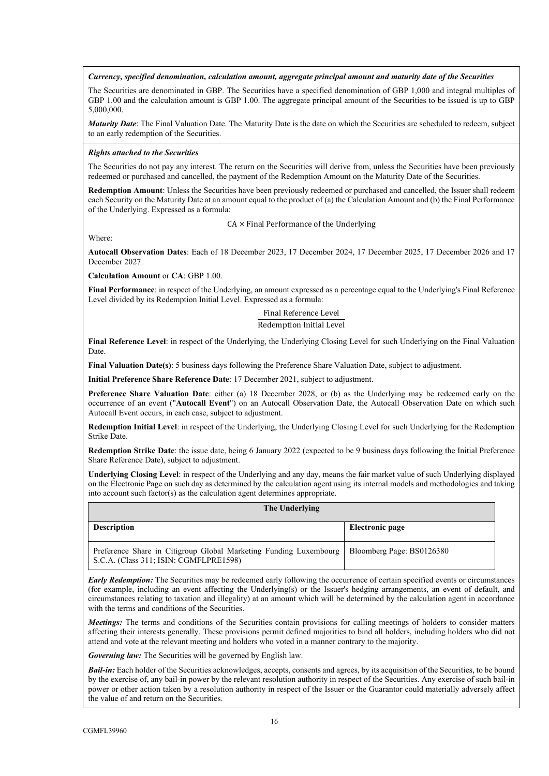*Currency, specified denomination, calculation amount, aggregate principal amount and maturity date of the Securities*

The Securities are denominated in GBP. The Securities have a specified denomination of GBP 1,000 and integral multiples of GBP 1.00 and the calculation amount is GBP 1.00. The aggregate principal amount of the Securities to be issued is up to GBP 5,000,000.

*Maturity Date*: The Final Valuation Date. The Maturity Date is the date on which the Securities are scheduled to redeem, subject to an early redemption of the Securities.

### *Rights attached to the Securities*

The Securities do not pay any interest. The return on the Securities will derive from, unless the Securities have been previously redeemed or purchased and cancelled, the payment of the Redemption Amount on the Maturity Date of the Securities.

**Redemption Amount**: Unless the Securities have been previously redeemed or purchased and cancelled, the Issuer shall redeem each Security on the Maturity Date at an amount equal to the product of (a) the Calculation Amount and (b) the Final Performance of the Underlying. Expressed as a formula:

 $CA \times$  Final Performance of the Underlying

Where:

**Autocall Observation Dates**: Each of 18 December 2023, 17 December 2024, 17 December 2025, 17 December 2026 and 17 December 2027.

**Calculation Amount** or **CA**: GBP 1.00.

**Final Performance**: in respect of the Underlying, an amount expressed as a percentage equal to the Underlying's Final Reference Level divided by its Redemption Initial Level. Expressed as a formula:

> Final Reference Level Redemption Initial Level

**Final Reference Level**: in respect of the Underlying, the Underlying Closing Level for such Underlying on the Final Valuation Date.

**Final Valuation Date(s)**: 5 business days following the Preference Share Valuation Date, subject to adjustment.

**Initial Preference Share Reference Date**: 17 December 2021, subject to adjustment.

**Preference Share Valuation Date**: either (a) 18 December 2028, or (b) as the Underlying may be redeemed early on the occurrence of an event ("**Autocall Event**") on an Autocall Observation Date, the Autocall Observation Date on which such Autocall Event occurs, in each case, subject to adjustment.

**Redemption Initial Level**: in respect of the Underlying, the Underlying Closing Level for such Underlying for the Redemption Strike Date.

**Redemption Strike Date**: the issue date, being 6 January 2022 (expected to be 9 business days following the Initial Preference Share Reference Date), subject to adjustment.

**Underlying Closing Level**: in respect of the Underlying and any day, means the fair market value of such Underlying displayed on the Electronic Page on such day as determined by the calculation agent using its internal models and methodologies and taking into account such factor(s) as the calculation agent determines appropriate.

| The Underlying                                                                                              |                           |  |  |  |
|-------------------------------------------------------------------------------------------------------------|---------------------------|--|--|--|
| <b>Description</b>                                                                                          | Electronic page           |  |  |  |
| Preference Share in Citigroup Global Marketing Funding Luxembourg<br>S.C.A. (Class 311; ISIN: CGMFLPRE1598) | Bloomberg Page: BS0126380 |  |  |  |

*Early Redemption:* The Securities may be redeemed early following the occurrence of certain specified events or circumstances (for example, including an event affecting the Underlying(s) or the Issuer's hedging arrangements, an event of default, and circumstances relating to taxation and illegality) at an amount which will be determined by the calculation agent in accordance with the terms and conditions of the Securities.

*Meetings:* The terms and conditions of the Securities contain provisions for calling meetings of holders to consider matters affecting their interests generally. These provisions permit defined majorities to bind all holders, including holders who did not attend and vote at the relevant meeting and holders who voted in a manner contrary to the majority.

*Governing law:* The Securities will be governed by English law.

*Bail-in:* Each holder of the Securities acknowledges, accepts, consents and agrees, by its acquisition of the Securities, to be bound by the exercise of, any bail-in power by the relevant resolution authority in respect of the Securities. Any exercise of such bail-in power or other action taken by a resolution authority in respect of the Issuer or the Guarantor could materially adversely affect the value of and return on the Securities.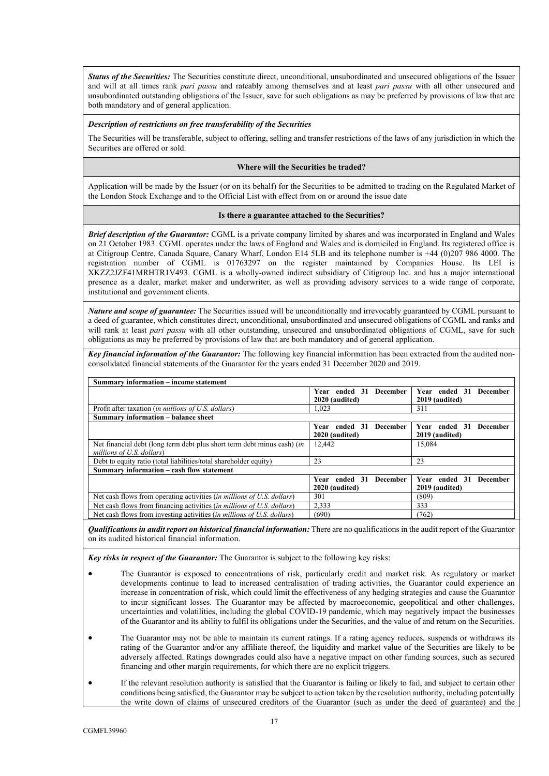*Status of the Securities:* The Securities constitute direct, unconditional, unsubordinated and unsecured obligations of the Issuer and will at all times rank *pari passu* and rateably among themselves and at least *pari passu* with all other unsecured and unsubordinated outstanding obligations of the Issuer, save for such obligations as may be preferred by provisions of law that are both mandatory and of general application.

#### *Description of restrictions on free transferability of the Securities*

The Securities will be transferable, subject to offering, selling and transfer restrictions of the laws of any jurisdiction in which the Securities are offered or sold.

#### **Where will the Securities be traded?**

Application will be made by the Issuer (or on its behalf) for the Securities to be admitted to trading on the Regulated Market of the London Stock Exchange and to the Official List with effect from on or around the issue date

#### **Is there a guarantee attached to the Securities?**

*Brief description of the Guarantor:* CGML is a private company limited by shares and was incorporated in England and Wales on 21 October 1983. CGML operates under the laws of England and Wales and is domiciled in England. Its registered office is at Citigroup Centre, Canada Square, Canary Wharf, London E14 5LB and its telephone number is +44 (0)207 986 4000. The registration number of CGML is 01763297 on the register maintained by Companies House. Its LEI is XKZZ2JZF41MRHTR1V493. CGML is a wholly-owned indirect subsidiary of Citigroup Inc. and has a major international presence as a dealer, market maker and underwriter, as well as providing advisory services to a wide range of corporate, institutional and government clients.

*Nature and scope of guarantee:* The Securities issued will be unconditionally and irrevocably guaranteed by CGML pursuant to a deed of guarantee, which constitutes direct, unconditional, unsubordinated and unsecured obligations of CGML and ranks and will rank at least *pari passu* with all other outstanding, unsecured and unsubordinated obligations of CGML, save for such obligations as may be preferred by provisions of law that are both mandatory and of general application.

*Key financial information of the Guarantor:* The following key financial information has been extracted from the audited nonconsolidated financial statements of the Guarantor for the years ended 31 December 2020 and 2019.

| Summary information – income statement                                        |                                  |                                     |  |  |  |
|-------------------------------------------------------------------------------|----------------------------------|-------------------------------------|--|--|--|
|                                                                               | Year ended 31<br><b>December</b> | Year ended 31<br><b>December</b>    |  |  |  |
|                                                                               | 2020 (audited)                   | 2019 (audited)                      |  |  |  |
| Profit after taxation (in millions of U.S. dollars)                           | 1.023                            | 311                                 |  |  |  |
| Summary information - balance sheet                                           |                                  |                                     |  |  |  |
|                                                                               | Year ended 31<br><b>December</b> | ended 31<br><b>December</b><br>Year |  |  |  |
|                                                                               | 2020 (audited)                   | 2019 (audited)                      |  |  |  |
| Net financial debt (long term debt plus short term debt minus cash) (in       | 12.442                           | 15,084                              |  |  |  |
| millions of U.S. dollars)                                                     |                                  |                                     |  |  |  |
| Debt to equity ratio (total liabilities/total shareholder equity)             | 23                               | 23                                  |  |  |  |
| Summary information – cash flow statement                                     |                                  |                                     |  |  |  |
|                                                                               | Year ended 31<br><b>December</b> | Year ended 31<br><b>December</b>    |  |  |  |
|                                                                               | 2020 (audited)                   | 2019 (audited)                      |  |  |  |
| Net cash flows from operating activities (in millions of U.S. dollars)        | 301                              | (809)                               |  |  |  |
| Net cash flows from financing activities <i>(in millions of U.S. dollars)</i> | 2,333                            | 333                                 |  |  |  |
| Net cash flows from investing activities <i>(in millions of U.S. dollars)</i> | (690)                            | (762)                               |  |  |  |

*Qualifications in audit report on historical financial information:* There are no qualifications in the audit report of the Guarantor on its audited historical financial information.

*Key risks in respect of the Guarantor:* The Guarantor is subject to the following key risks:

- The Guarantor is exposed to concentrations of risk, particularly credit and market risk. As regulatory or market developments continue to lead to increased centralisation of trading activities, the Guarantor could experience an increase in concentration of risk, which could limit the effectiveness of any hedging strategies and cause the Guarantor to incur significant losses. The Guarantor may be affected by macroeconomic, geopolitical and other challenges, uncertainties and volatilities, including the global COVID-19 pandemic, which may negatively impact the businesses of the Guarantor and its ability to fulfil its obligations under the Securities, and the value of and return on the Securities.
- The Guarantor may not be able to maintain its current ratings. If a rating agency reduces, suspends or withdraws its rating of the Guarantor and/or any affiliate thereof, the liquidity and market value of the Securities are likely to be adversely affected. Ratings downgrades could also have a negative impact on other funding sources, such as secured financing and other margin requirements, for which there are no explicit triggers.
- If the relevant resolution authority is satisfied that the Guarantor is failing or likely to fail, and subject to certain other conditions being satisfied, the Guarantor may be subject to action taken by the resolution authority, including potentially the write down of claims of unsecured creditors of the Guarantor (such as under the deed of guarantee) and the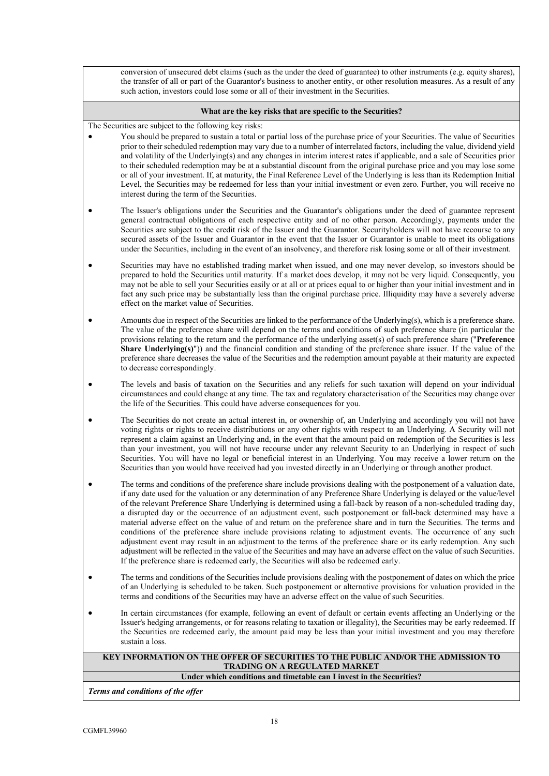conversion of unsecured debt claims (such as the under the deed of guarantee) to other instruments (e.g. equity shares), the transfer of all or part of the Guarantor's business to another entity, or other resolution measures. As a result of any such action, investors could lose some or all of their investment in the Securities.

#### **What are the key risks that are specific to the Securities?**

The Securities are subject to the following key risks:

- You should be prepared to sustain a total or partial loss of the purchase price of your Securities. The value of Securities prior to their scheduled redemption may vary due to a number of interrelated factors, including the value, dividend yield and volatility of the Underlying(s) and any changes in interim interest rates if applicable, and a sale of Securities prior to their scheduled redemption may be at a substantial discount from the original purchase price and you may lose some or all of your investment. If, at maturity, the Final Reference Level of the Underlying is less than its Redemption Initial Level, the Securities may be redeemed for less than your initial investment or even zero. Further, you will receive no interest during the term of the Securities.
- The Issuer's obligations under the Securities and the Guarantor's obligations under the deed of guarantee represent general contractual obligations of each respective entity and of no other person. Accordingly, payments under the Securities are subject to the credit risk of the Issuer and the Guarantor. Securityholders will not have recourse to any secured assets of the Issuer and Guarantor in the event that the Issuer or Guarantor is unable to meet its obligations under the Securities, including in the event of an insolvency, and therefore risk losing some or all of their investment.
- Securities may have no established trading market when issued, and one may never develop, so investors should be prepared to hold the Securities until maturity. If a market does develop, it may not be very liquid. Consequently, you may not be able to sell your Securities easily or at all or at prices equal to or higher than your initial investment and in fact any such price may be substantially less than the original purchase price. Illiquidity may have a severely adverse effect on the market value of Securities.
- Amounts due in respect of the Securities are linked to the performance of the Underlying(s), which is a preference share. The value of the preference share will depend on the terms and conditions of such preference share (in particular the provisions relating to the return and the performance of the underlying asset(s) of such preference share ("**Preference Share Underlying(s)")**) and the financial condition and standing of the preference share issuer. If the value of the preference share decreases the value of the Securities and the redemption amount payable at their maturity are expected to decrease correspondingly.
- The levels and basis of taxation on the Securities and any reliefs for such taxation will depend on your individual circumstances and could change at any time. The tax and regulatory characterisation of the Securities may change over the life of the Securities. This could have adverse consequences for you.
- The Securities do not create an actual interest in, or ownership of, an Underlying and accordingly you will not have voting rights or rights to receive distributions or any other rights with respect to an Underlying. A Security will not represent a claim against an Underlying and, in the event that the amount paid on redemption of the Securities is less than your investment, you will not have recourse under any relevant Security to an Underlying in respect of such Securities. You will have no legal or beneficial interest in an Underlying. You may receive a lower return on the Securities than you would have received had you invested directly in an Underlying or through another product.
- The terms and conditions of the preference share include provisions dealing with the postponement of a valuation date, if any date used for the valuation or any determination of any Preference Share Underlying is delayed or the value/level of the relevant Preference Share Underlying is determined using a fall-back by reason of a non-scheduled trading day, a disrupted day or the occurrence of an adjustment event, such postponement or fall-back determined may have a material adverse effect on the value of and return on the preference share and in turn the Securities. The terms and conditions of the preference share include provisions relating to adjustment events. The occurrence of any such adjustment event may result in an adjustment to the terms of the preference share or its early redemption. Any such adjustment will be reflected in the value of the Securities and may have an adverse effect on the value of such Securities. If the preference share is redeemed early, the Securities will also be redeemed early.
- The terms and conditions of the Securities include provisions dealing with the postponement of dates on which the price of an Underlying is scheduled to be taken. Such postponement or alternative provisions for valuation provided in the terms and conditions of the Securities may have an adverse effect on the value of such Securities.
- In certain circumstances (for example, following an event of default or certain events affecting an Underlying or the Issuer's hedging arrangements, or for reasons relating to taxation or illegality), the Securities may be early redeemed. If the Securities are redeemed early, the amount paid may be less than your initial investment and you may therefore sustain a loss.

# **KEY INFORMATION ON THE OFFER OF SECURITIES TO THE PUBLIC AND/OR THE ADMISSION TO TRADING ON A REGULATED MARKET**

**Under which conditions and timetable can I invest in the Securities?**

*Terms and conditions of the offer*